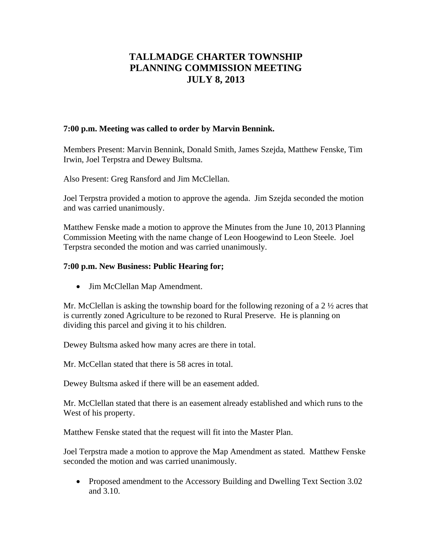# **TALLMADGE CHARTER TOWNSHIP PLANNING COMMISSION MEETING JULY 8, 2013**

### **7:00 p.m. Meeting was called to order by Marvin Bennink.**

Members Present: Marvin Bennink, Donald Smith, James Szejda, Matthew Fenske, Tim Irwin, Joel Terpstra and Dewey Bultsma.

Also Present: Greg Ransford and Jim McClellan.

Joel Terpstra provided a motion to approve the agenda. Jim Szejda seconded the motion and was carried unanimously.

Matthew Fenske made a motion to approve the Minutes from the June 10, 2013 Planning Commission Meeting with the name change of Leon Hoogewind to Leon Steele. Joel Terpstra seconded the motion and was carried unanimously.

## **7:00 p.m. New Business: Public Hearing for;**

• Jim McClellan Map Amendment.

Mr. McClellan is asking the township board for the following rezoning of a 2 ½ acres that is currently zoned Agriculture to be rezoned to Rural Preserve. He is planning on dividing this parcel and giving it to his children.

Dewey Bultsma asked how many acres are there in total.

Mr. McCellan stated that there is 58 acres in total.

Dewey Bultsma asked if there will be an easement added.

Mr. McClellan stated that there is an easement already established and which runs to the West of his property.

Matthew Fenske stated that the request will fit into the Master Plan.

Joel Terpstra made a motion to approve the Map Amendment as stated. Matthew Fenske seconded the motion and was carried unanimously.

• Proposed amendment to the Accessory Building and Dwelling Text Section 3.02 and 3.10.